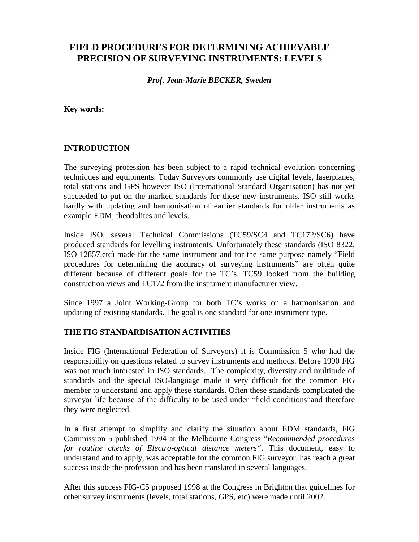# **FIELD PROCEDURES FOR DETERMINING ACHIEVABLE PRECISION OF SURVEYING INSTRUMENTS: LEVELS**

*Prof. Jean-Marie BECKER, Sweden*

**Key words:**

#### **INTRODUCTION**

The surveying profession has been subject to a rapid technical evolution concerning techniques and equipments. Today Surveyors commonly use digital levels, laserplanes, total stations and GPS however ISO (International Standard Organisation) has not yet succeeded to put on the marked standards for these new instruments. ISO still works hardly with updating and harmonisation of earlier standards for older instruments as example EDM, theodolites and levels.

Inside ISO, several Technical Commissions (TC59/SC4 and TC172/SC6) have produced standards for levelling instruments. Unfortunately these standards (ISO 8322, ISO 12857,etc) made for the same instrument and for the same purpose namely "Field procedures for determining the accuracy of surveying instruments" are often quite different because of different goals for the TC's. TC59 looked from the building construction views and TC172 from the instrument manufacturer view.

Since 1997 a Joint Working-Group for both TC's works on a harmonisation and updating of existing standards. The goal is one standard for one instrument type.

#### **THE FIG STANDARDISATION ACTIVITIES**

Inside FIG (International Federation of Surveyors) it is Commission 5 who had the responsibility on questions related to survey instruments and methods. Before 1990 FIG was not much interested in ISO standards. The complexity, diversity and multitude of standards and the special ISO-language made it very difficult for the common FIG member to understand and apply these standards. Often these standards complicated the surveyor life because of the difficulty to be used under "field conditions"and therefore they were neglected.

In a first attempt to simplify and clarify the situation about EDM standards, FIG Commission 5 published 1994 at the Melbourne Congress "*Recommended procedures for routine checks of Electro-optical distance meters".* This document, easy to understand and to apply, was acceptable for the common FIG surveyor, has reach a great success inside the profession and has been translated in several languages.

After this success FIG-C5 proposed 1998 at the Congress in Brighton that guidelines for other survey instruments (levels, total stations, GPS, etc) were made until 2002.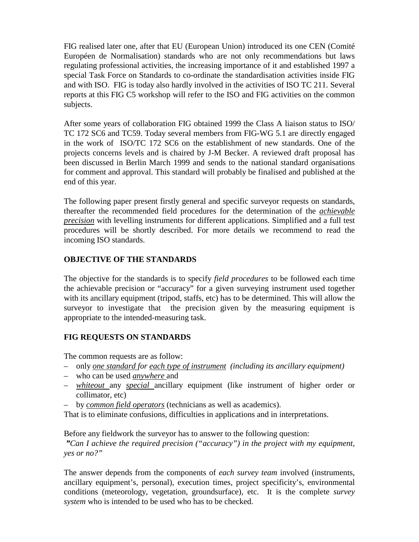FIG realised later one, after that EU (European Union) introduced its one CEN (Comité Européen de Normalisation) standards who are not only recommendations but laws regulating professional activities, the increasing importance of it and established 1997 a special Task Force on Standards to co-ordinate the standardisation activities inside FIG and with ISO. FIG is today also hardly involved in the activities of ISO TC 211. Several reports at this FIG C5 workshop will refer to the ISO and FIG activities on the common subjects.

After some years of collaboration FIG obtained 1999 the Class A liaison status to ISO/ TC 172 SC6 and TC59. Today several members from FIG-WG 5.1 are directly engaged in the work of ISO/TC 172 SC6 on the establishment of new standards. One of the projects concerns levels and is chaired by J-M Becker. A reviewed draft proposal has been discussed in Berlin March 1999 and sends to the national standard organisations for comment and approval. This standard will probably be finalised and published at the end of this year.

The following paper present firstly general and specific surveyor requests on standards, thereafter the recommended field procedures for the determination of the *achievable precision* with levelling instruments for different applications. Simplified and a full test procedures will be shortly described. For more details we recommend to read the incoming ISO standards.

## **OBJECTIVE OF THE STANDARDS**

The objective for the standards is to specify *field procedures* to be followed each time the achievable precision or "accuracy" for a given surveying instrument used together with its ancillary equipment (tripod, staffs, etc) has to be determined. This will allow the surveyor to investigate that the precision given by the measuring equipment is appropriate to the intended-measuring task.

# **FIG REQUESTS ON STANDARDS**

The common requests are as follow:

- only *one standard for each type of instrument (including its ancillary equipment)*
- who can be used *anywhere* and
- *whiteout* any *special* ancillary equipment (like instrument of higher order or collimator, etc)
- by *common field operators* (technicians as well as academics).

That is to eliminate confusions, difficulties in applications and in interpretations.

Before any fieldwork the surveyor has to answer to the following question:

 *"Can I achieve the required precision ("accuracy") in the project with my equipment, yes or no?"*

The answer depends from the components of *each survey team* involved (instruments, ancillary equipment's, personal), execution times, project specificity's, environmental conditions (meteorology, vegetation, groundsurface), etc. It is the complete *survey system* who is intended to be used who has to be checked.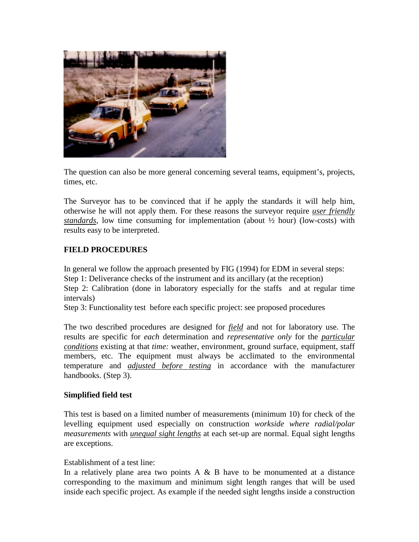

The question can also be more general concerning several teams, equipment's, projects, times, etc.

The Surveyor has to be convinced that if he apply the standards it will help him, otherwise he will not apply them. For these reasons the surveyor require *user friendly standards*, low time consuming for implementation (about ½ hour) (low-costs) with results easy to be interpreted.

## **FIELD PROCEDURES**

In general we follow the approach presented by FIG (1994) for EDM in several steps: Step 1: Deliverance checks of the instrument and its ancillary (at the reception) Step 2: Calibration (done in laboratory especially for the staffs and at regular time

intervals)

Step 3: Functionality test before each specific project: see proposed procedures

The two described procedures are designed for *field* and not for laboratory use. The results are specific for *each* determination and *representative only* for the *particular conditions* existing at that *time:* weather, environment, ground surface, equipment, staff members, etc. The equipment must always be acclimated to the environmental temperature and *adjusted before testing* in accordance with the manufacturer handbooks. (Step 3).

## **Simplified field test**

This test is based on a limited number of measurements (minimum 10) for check of the levelling equipment used especially on construction *workside where radial/polar measurements* with *unequal sight lengths* at each set-up are normal. Equal sight lengths are exceptions.

#### Establishment of a test line:

In a relatively plane area two points  $A \& B$  have to be monumented at a distance corresponding to the maximum and minimum sight length ranges that will be used inside each specific project. As example if the needed sight lengths inside a construction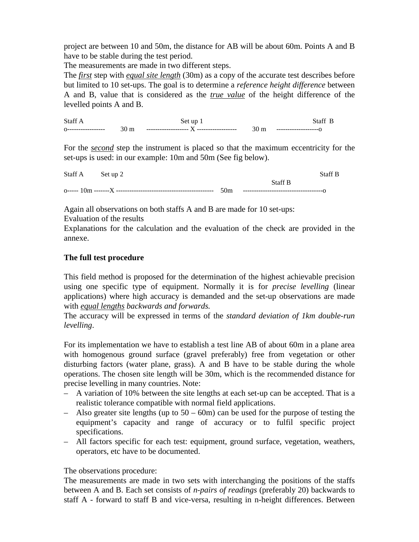project are between 10 and 50m, the distance for AB will be about 60m. Points A and B have to be stable during the test period.

The measurements are made in two different steps.

The *first* step with *equal site length* (30m) as a copy of the accurate test describes before but limited to 10 set-ups. The goal is to determine a *reference height difference* between A and B, value that is considered as the *true value* of the height difference of the levelled points A and B.

Staff A Set up 1 Staff B o----------------- 30 m ------------------- X ------------------ 30 m -------------------o

For the *second* step the instrument is placed so that the maximum eccentricity for the set-ups is used: in our example: 10m and 50m (See fig below).

Staff A Set up 2 Staff B Staff B o----- 10m -------X -------------------------------------------- 50m ------------------------------------o

Again all observations on both staffs A and B are made for 10 set-ups:

Evaluation of the results

Explanations for the calculation and the evaluation of the check are provided in the annexe.

## **The full test procedure**

This field method is proposed for the determination of the highest achievable precision using one specific type of equipment. Normally it is for *precise levelling* (linear applications) where high accuracy is demanded and the set-up observations are made with *equal lengths backwards and forwards.*

The accuracy will be expressed in terms of the *standard deviation of 1km double-run levelling*.

For its implementation we have to establish a test line AB of about 60m in a plane area with homogenous ground surface (gravel preferably) free from vegetation or other disturbing factors (water plane, grass). A and B have to be stable during the whole operations. The chosen site length will be 30m, which is the recommended distance for precise levelling in many countries. Note:

- A variation of 10% between the site lengths at each set-up can be accepted. That is a realistic tolerance compatible with normal field applications.
- Also greater site lengths (up to  $50 60$ m) can be used for the purpose of testing the equipment's capacity and range of accuracy or to fulfil specific project specifications.
- All factors specific for each test: equipment, ground surface, vegetation, weathers, operators, etc have to be documented.

#### The observations procedure:

The measurements are made in two sets with interchanging the positions of the staffs between A and B. Each set consists of *n-pairs of readings* (preferably 20) backwards to staff A - forward to staff B and vice-versa, resulting in n-height differences. Between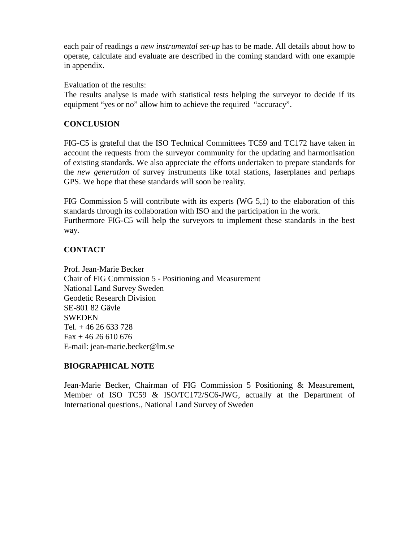each pair of readings *a new instrumental set-up* has to be made. All details about how to operate, calculate and evaluate are described in the coming standard with one example in appendix.

Evaluation of the results:

The results analyse is made with statistical tests helping the surveyor to decide if its equipment "yes or no" allow him to achieve the required "accuracy".

#### **CONCLUSION**

FIG-C5 is grateful that the ISO Technical Committees TC59 and TC172 have taken in account the requests from the surveyor community for the updating and harmonisation of existing standards. We also appreciate the efforts undertaken to prepare standards for the *new generation* of survey instruments like total stations, laserplanes and perhaps GPS. We hope that these standards will soon be reality.

FIG Commission 5 will contribute with its experts (WG 5,1) to the elaboration of this standards through its collaboration with ISO and the participation in the work. Furthermore FIG-C5 will help the surveyors to implement these standards in the best way.

#### **CONTACT**

Prof. Jean-Marie Becker Chair of FIG Commission 5 - Positioning and Measurement National Land Survey Sweden Geodetic Research Division SE-801 82 Gävle **SWEDEN** Tel. + 46 26 633 728  $Fax + 4626610676$ E-mail: jean-marie.becker@lm.se

## **BIOGRAPHICAL NOTE**

Jean-Marie Becker, Chairman of FIG Commission 5 Positioning & Measurement, Member of ISO TC59 & ISO/TC172/SC6-JWG, actually at the Department of International questions., National Land Survey of Sweden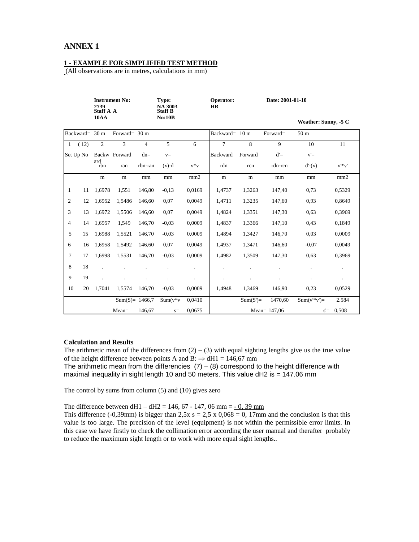#### **ANNEX 1**

#### **1 - EXAMPLE FOR SIMPLIFIED TEST METHOD**

(All observations are in metres, calculations in mm)

|                |           | <b>Instrument No:</b><br>2739<br><b>Staff A A</b><br>10AA |                    |                | Type:<br><b>NA 3003</b><br><b>Staff B</b> |                      | Operator:<br><b>HR</b> | Date: 2001-01-10 |                |                      |                |  |  |
|----------------|-----------|-----------------------------------------------------------|--------------------|----------------|-------------------------------------------|----------------------|------------------------|------------------|----------------|----------------------|----------------|--|--|
|                |           |                                                           |                    |                | <b>No:10B</b>                             |                      |                        |                  |                | Weather: Sunny, -5 C |                |  |  |
| Backward= 30 m |           |                                                           | Forward= 30 m      |                |                                           |                      | Backward= 10 m         |                  | Forward=       | 50 <sub>m</sub>      |                |  |  |
| $\mathbf{1}$   | (12)      | $\overline{2}$                                            | 3                  | $\overline{4}$ | 5                                         | 6                    | $\tau$                 | 8                | $\mathbf{Q}$   | 10                   | 11             |  |  |
|                | Set Up No |                                                           | Backw Forward      | $dn=$          | $V =$                                     |                      | Backward               | Forward          | $d' =$         | $v' =$               |                |  |  |
|                |           | ard<br>rbn                                                | ran                | rbn-ran        | $(x)-d$                                   | $v * v$              | rdn                    | rcn              | rdn-rcn        | $d'-(x)$             | $v' * v'$      |  |  |
|                |           | m                                                         | m                  | mm             | mm                                        | mm2                  | m                      | m                | mm             | mm                   | mm2            |  |  |
| 1              | 11        | 1,6978                                                    | 1,551              | 146,80         | $-0.13$                                   | 0,0169               | 1,4737                 | 1,3263           | 147,40         | 0,73                 | 0,5329         |  |  |
| $\overline{c}$ | 12        | 1,6952                                                    | 1,5486             | 146,60         | 0,07                                      | 0,0049               | 1,4711                 | 1,3235           | 147,60         | 0,93                 | 0.8649         |  |  |
| 3              | 13        | 1,6972                                                    | 1,5506             | 146,60         | 0,07                                      | 0,0049               | 1,4824                 | 1,3351           | 147,30         | 0,63                 | 0,3969         |  |  |
| 4              | 14        | 1,6957                                                    | 1.549              | 146,70         | $-0,03$                                   | 0.0009               | 1,4837                 | 1,3366           | 147,10         | 0,43                 | 0,1849         |  |  |
| 5              | 15        | 1,6988                                                    | 1,5521             | 146,70         | $-0.03$                                   | 0,0009               | 1,4894                 | 1,3427           | 146,70         | 0,03                 | 0,0009         |  |  |
| 6              | 16        | 1.6958                                                    | 1.5492             | 146.60         | 0,07                                      | 0.0049               | 1.4937                 | 1,3471           | 146.60         | $-0.07$              | 0.0049         |  |  |
| 7              | 17        | 1,6998                                                    | 1,5531             | 146,70         | $-0.03$                                   | 0,0009               | 1,4982                 | 1,3509           | 147,30         | 0,63                 | 0,3969         |  |  |
| 8              | 18        |                                                           |                    |                |                                           | $\ddot{\phantom{a}}$ |                        |                  |                |                      | $\blacksquare$ |  |  |
| 9              | 19        |                                                           |                    |                |                                           | $\cdot$              |                        |                  |                |                      | $\bullet$      |  |  |
| 10             | 20        | 1,7041                                                    | 1,5574             | 146,70         | $-0.03$                                   | 0,0009               | 1,4948                 | 1,3469           | 146,90         | 0,23                 | 0,0529         |  |  |
|                |           |                                                           | Sum $(S) = 1466.7$ |                | $Sum(v * v)$                              | 0,0410               |                        | $Sum(S')=$       | 1470,60        | $Sum(v'*v')=$        | 2.584          |  |  |
|                |           |                                                           | $Mean =$           | 146,67         | $s=$                                      | 0,0675               |                        |                  | Mean= $147,06$ | $s' = 0,508$         |                |  |  |

#### **Calculation and Results**

The arithmetic mean of the differences from  $(2) - (3)$  with equal sighting lengths give us the true value of the height difference between points A and B:  $\Rightarrow$  dH1 = 146,67 mm The arithmetic mean from the differencies  $(7) - (8)$  correspond to the height difference with maximal inequality in sight length 10 and 50 meters. This value dH2 is =  $147.06$  mm

The control by sums from column (5) and (10) gives zero

The difference between dH1 – dH2 = 146, 67 - 147, 06 mm **=** - 0, 39 mm

This difference (-0,39mm) is bigger than  $2.5x$  s =  $2.5 \times 0.068 = 0$ , 17mm and the conclusion is that this value is too large. The precision of the level (equipment) is not within the permissible error limits. In this case we have firstly to check the collimation error according the user manual and therafter probably to reduce the maximum sight length or to work with more equal sight lengths..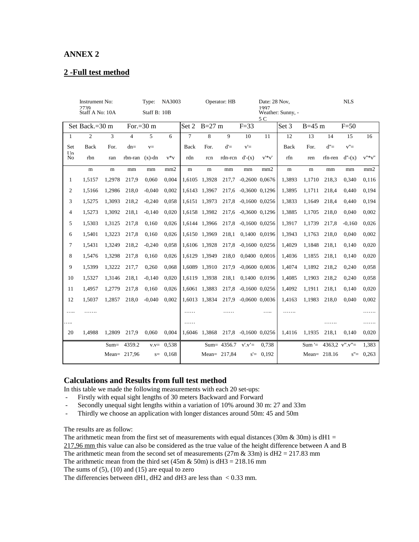#### **ANNEX 2**

#### **2 -Full test method**

| <b>Instrument No:</b>     |                |         | NA3003<br>Type:      |          |             | Operator: HB   |                          |             |                      | Date: 28 Nov.<br>1997 |           |          | <b>NLS</b>           |           |            |  |
|---------------------------|----------------|---------|----------------------|----------|-------------|----------------|--------------------------|-------------|----------------------|-----------------------|-----------|----------|----------------------|-----------|------------|--|
| 2739<br>Staff A No: 10A   |                |         | Staff B: 10B         |          |             |                | Weather: Sunny, -<br>5 C |             |                      |                       |           |          |                      |           |            |  |
| Set Back.= $30 \text{ m}$ |                |         | For.= $30 \text{ m}$ |          |             | Set 2          | $B=27$ m                 |             | $F=33$               | Set 3                 |           | $B=45$ m |                      | $F=50$    |            |  |
| 1                         | $\overline{c}$ | 3       | $\overline{4}$       | 5        | 6           | $\overline{7}$ | 8                        | 9           | 10                   | 11                    | 12        | 13       | 14                   | 15        | 16         |  |
| Set<br>I In               | Back           | For.    | $dn=$                | $V =$    |             | Back           | For.                     | $d' =$      | $v' =$               |                       | Back      | For.     | $d' =$               | $v'' =$   |            |  |
| No                        | rbn            | ran     | rbn-ran              | $(x)-dn$ | $v * v$     | rdn            | rcn                      | rdn-rcn     | $d'-(x)$             | $v' * v'$             | rfn       | ren      | rfn-ren              | $d''-(x)$ | $v''^*v''$ |  |
|                           | m              | m       | mm                   | mm       | mm2         | m              | m                        | mm          | mm                   | mm2                   | ${\bf m}$ | m        | mm                   | mm        | mm2        |  |
| $\mathbf{1}$              | 1,5157         | 1,2978  | 217,9                | 0,060    | 0,004       |                | 1,6105 1,3928            | 217,7       | $-0,2600$ $0,0676$   |                       | 1,3893    | 1,1710   | 218,3                | 0,340     | 0,116      |  |
| 2                         | 1,5166         | 1,2986  | 218,0                | $-0.040$ | 0,002       |                | 1,6143 1,3967            |             | 217,6 -0,3600 0,1296 |                       | 1,3895    | 1,1711   | 218,4                | 0,440     | 0,194      |  |
| 3                         | 1,5275         | 1,3093  | 218,2                | $-0,240$ | 0,058       |                | 1,6151 1,3973            |             | 217,8 -0,1600 0,0256 |                       | 1,3833    | 1,1649   | 218,4                | 0,440     | 0,194      |  |
| $\overline{4}$            | 1,5273         | 1,3092  | 218,1                | $-0,140$ | 0.020       |                | 1,6158 1,3982            |             | 217,6 -0,3600 0,1296 |                       | 1,3885    | 1,1705   | 218,0                | 0,040     | 0,002      |  |
| 5                         | 1,5303         | 1,3125  | 217,8                | 0,160    | 0,026       |                | 1,6144 1,3966            |             | 217,8 -0,1600 0,0256 |                       | 1,3917    | 1,1739   | 217,8                | $-0.160$  | 0,026      |  |
| 6                         | 1,5401         | 1,3223  | 217,8                | 0,160    | 0,026       |                | 1,6150 1,3969            | 218,1       | 0,1400 0,0196        |                       | 1,3943    | 1,1763   | 218,0                | 0,040     | 0,002      |  |
| 7                         | 1,5431         | 1,3249  | 218,2                | $-0,240$ | 0,058       |                | 1,6106 1,3928            |             | 217,8 -0,1600 0,0256 |                       | 1,4029    | 1,1848   | 218,1                | 0,140     | 0,020      |  |
| 8                         | 1,5476         | 1,3298  | 217,8                | 0,160    | 0,026       | 1,6129         | 1,3949                   | 218,0       | 0,0400 0,0016        |                       | 1,4036    | 1,1855   | 218,1                | 0,140     | 0,020      |  |
| 9                         | 1,5399         | 1,3222  | 217,7                | 0,260    | 0,068       | 1,6089         | 1,3910                   | 217,9       | $-0,0600$ $0,0036$   |                       | 1,4074    | 1,1892   | 218,2                | 0,240     | 0,058      |  |
| 10                        | 1,5327         | 1,3146  | 218,1                | $-0,140$ | 0,020       |                | 1,6119 1,3938            | 218,1       | 0,1400 0,0196        |                       | 1,4085    | 1,1903   | 218,2                | 0,240     | 0,058      |  |
| 11                        | 1,4957         | 1,2779  | 217,8                | 0,160    | 0,026       |                | 1,6061 1,3883            |             | 217,8 -0,1600 0,0256 |                       | 1,4092    | 1,1911   | 218,1                | 0,140     | 0,020      |  |
| 12                        | 1,5037         | 1,2857  | 218,0                | $-0,040$ | 0,002       |                | 1,6013 1,3834            |             | 217,9 -0,0600 0,0036 |                       | 1,4163    | 1,1983   | 218,0                | 0,040     | 0,002      |  |
| .                         | .              |         |                      |          |             | .              |                          |             |                      | .                     | .         |          |                      |           | .          |  |
| .                         |                |         |                      |          |             | .              |                          |             |                      |                       |           |          |                      |           | .          |  |
| 20                        | 1,4988         | 1,2809  | 217,9                | 0,060    | 0,004       |                | 1,6046 1,3868            |             | 217,8 -0,1600 0,0256 |                       | 1,4116    | 1,1935   | 218,1                | 0,140     | 0,020      |  |
|                           |                | $Sum =$ | 4359.2               | $V.V =$  | 0,538       |                |                          | Sum= 4356.7 | $v'$ . $v'$ =        | 0,738                 |           | $Sum =$  | 4363,2 $v$ ". $v$ "= |           | 1,383      |  |
|                           |                |         | Mean= $217,96$       |          | $s = 0.168$ |                | Mean= $217,84$           |             | $s' =$               | 0,192                 |           |          | Mean= $218.16$       | $s' =$    | 0,263      |  |

#### **Calculations and Results from full test method**

In this table we made the following measurements with each 20 set-ups:

- Firstly with equal sight lengths of 30 meters Backward and Forward
- Secondly unequal sight lengths within a variation of 10% around 30 m: 27 and 33m
- Thirdly we choose an application with longer distances around 50m: 45 and 50m

The results are as follow:

The arithmetic mean from the first set of measurements with equal distances (30m & 30m) is dH1 = 217,96 mm this value can also be considered as the true value of the height difference between A and B The arithmetic mean from the second set of measurements  $(27m \& 33m)$  is  $dH2 = 217.83$  mm

The arithmetic mean from the third set  $(45m \& 50m)$  is  $dH3 = 218.16$  mm

The sums of  $(5)$ ,  $(10)$  and  $(15)$  are equal to zero

The differencies between dH1, dH2 and dH3 are less than < 0.33 mm.